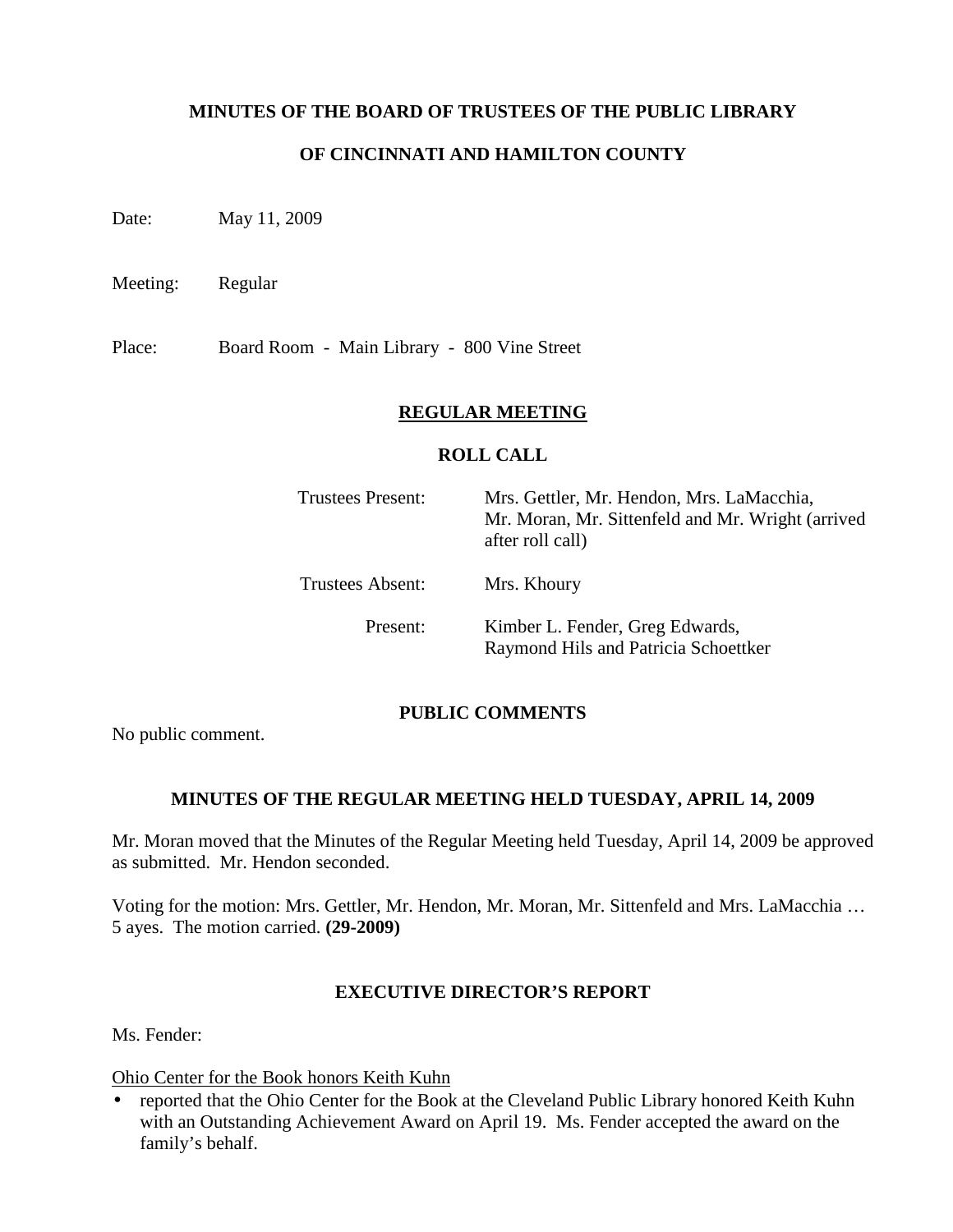### **MINUTES OF THE BOARD OF TRUSTEES OF THE PUBLIC LIBRARY**

### **OF CINCINNATI AND HAMILTON COUNTY**

Date: May 11, 2009

Meeting: Regular

Place: Board Room - Main Library - 800 Vine Street

#### **REGULAR MEETING**

#### **ROLL CALL**

| <b>Trustees Present:</b> | Mrs. Gettler, Mr. Hendon, Mrs. LaMacchia,<br>Mr. Moran, Mr. Sittenfeld and Mr. Wright (arrived<br>after roll call) |  |
|--------------------------|--------------------------------------------------------------------------------------------------------------------|--|
| Trustees Absent:         | Mrs. Khoury                                                                                                        |  |
| Present:                 | Kimber L. Fender, Greg Edwards,<br>Raymond Hils and Patricia Schoettker                                            |  |

#### **PUBLIC COMMENTS**

No public comment.

#### **MINUTES OF THE REGULAR MEETING HELD TUESDAY, APRIL 14, 2009**

Mr. Moran moved that the Minutes of the Regular Meeting held Tuesday, April 14, 2009 be approved as submitted. Mr. Hendon seconded.

Voting for the motion: Mrs. Gettler, Mr. Hendon, Mr. Moran, Mr. Sittenfeld and Mrs. LaMacchia … 5 ayes. The motion carried. **(29-2009)**

#### **EXECUTIVE DIRECTOR'S REPORT**

Ms. Fender:

Ohio Center for the Book honors Keith Kuhn

• reported that the Ohio Center for the Book at the Cleveland Public Library honored Keith Kuhn with an Outstanding Achievement Award on April 19. Ms. Fender accepted the award on the family's behalf.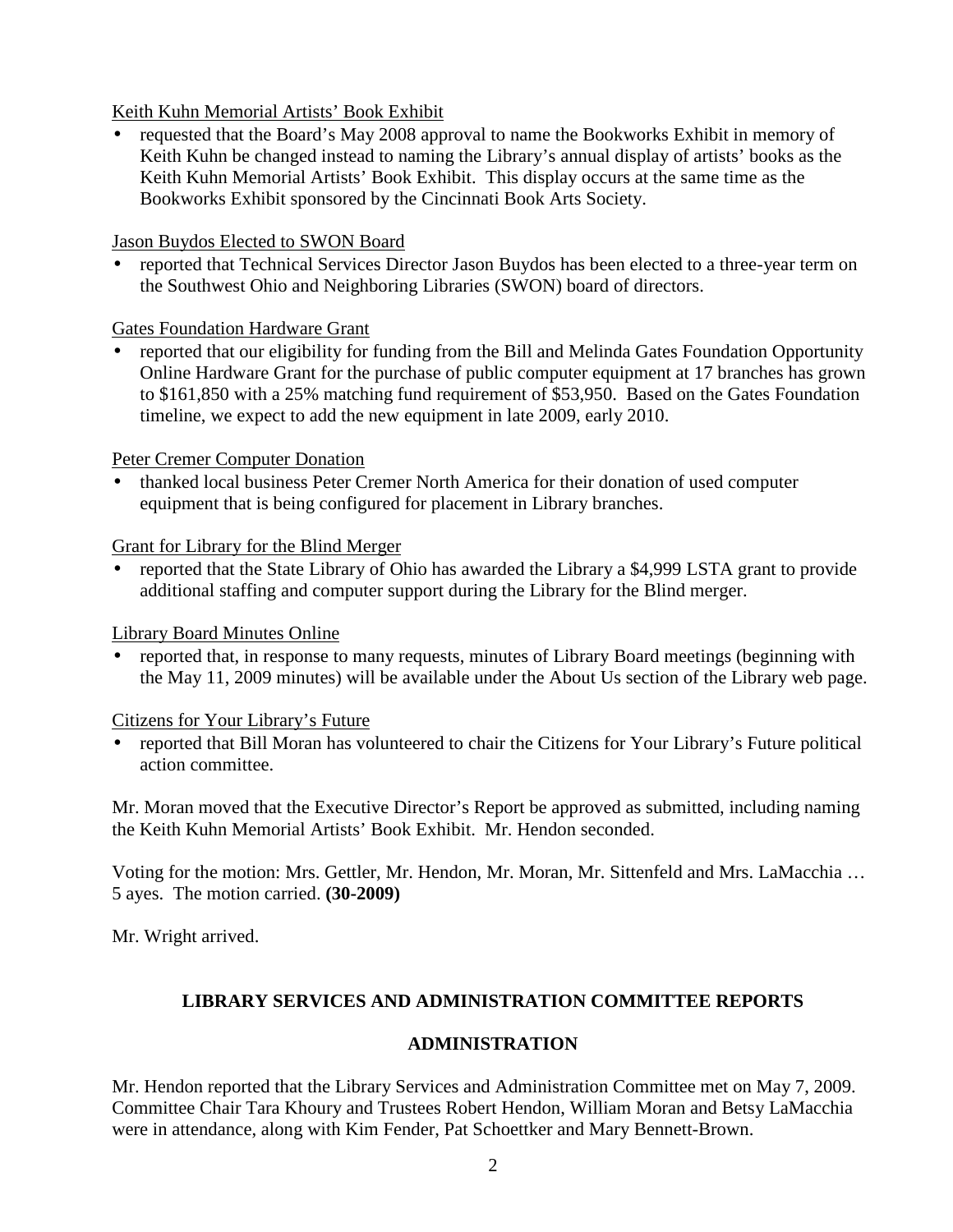# Keith Kuhn Memorial Artists' Book Exhibit

• requested that the Board's May 2008 approval to name the Bookworks Exhibit in memory of Keith Kuhn be changed instead to naming the Library's annual display of artists' books as the Keith Kuhn Memorial Artists' Book Exhibit. This display occurs at the same time as the Bookworks Exhibit sponsored by the Cincinnati Book Arts Society.

#### Jason Buydos Elected to SWON Board

• reported that Technical Services Director Jason Buydos has been elected to a three-year term on the Southwest Ohio and Neighboring Libraries (SWON) board of directors.

### Gates Foundation Hardware Grant

• reported that our eligibility for funding from the Bill and Melinda Gates Foundation Opportunity Online Hardware Grant for the purchase of public computer equipment at 17 branches has grown to \$161,850 with a 25% matching fund requirement of \$53,950. Based on the Gates Foundation timeline, we expect to add the new equipment in late 2009, early 2010.

### Peter Cremer Computer Donation

• thanked local business Peter Cremer North America for their donation of used computer equipment that is being configured for placement in Library branches.

### Grant for Library for the Blind Merger

• reported that the State Library of Ohio has awarded the Library a \$4,999 LSTA grant to provide additional staffing and computer support during the Library for the Blind merger.

# Library Board Minutes Online

• reported that, in response to many requests, minutes of Library Board meetings (beginning with the May 11, 2009 minutes) will be available under the About Us section of the Library web page.

#### Citizens for Your Library's Future

• reported that Bill Moran has volunteered to chair the Citizens for Your Library's Future political action committee.

Mr. Moran moved that the Executive Director's Report be approved as submitted, including naming the Keith Kuhn Memorial Artists' Book Exhibit. Mr. Hendon seconded.

Voting for the motion: Mrs. Gettler, Mr. Hendon, Mr. Moran, Mr. Sittenfeld and Mrs. LaMacchia … 5 ayes. The motion carried. **(30-2009)** 

Mr. Wright arrived.

# **LIBRARY SERVICES AND ADMINISTRATION COMMITTEE REPORTS**

# **ADMINISTRATION**

Mr. Hendon reported that the Library Services and Administration Committee met on May 7, 2009. Committee Chair Tara Khoury and Trustees Robert Hendon, William Moran and Betsy LaMacchia were in attendance, along with Kim Fender, Pat Schoettker and Mary Bennett-Brown.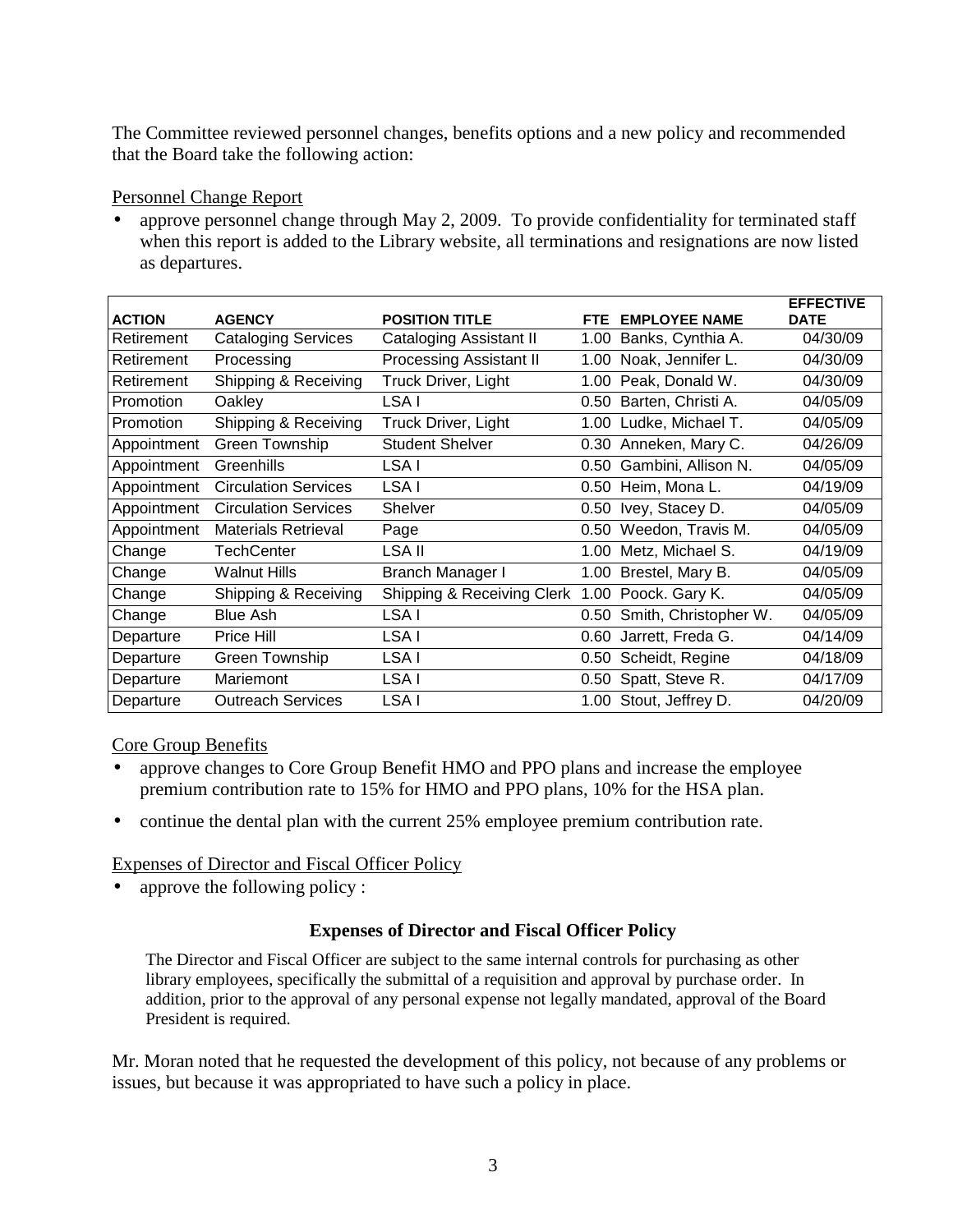The Committee reviewed personnel changes, benefits options and a new policy and recommended that the Board take the following action:

### Personnel Change Report

approve personnel change through May 2, 2009. To provide confidentiality for terminated staff when this report is added to the Library website, all terminations and resignations are now listed as departures.

| <b>ACTION</b> | <b>AGENCY</b>               | <b>POSITION TITLE</b>          | FTE. | <b>EMPLOYEE NAME</b>   | <b>EFFECTIVE</b><br><b>DATE</b> |
|---------------|-----------------------------|--------------------------------|------|------------------------|---------------------------------|
|               |                             |                                |      |                        |                                 |
| Retirement    | <b>Cataloging Services</b>  | Cataloging Assistant II        | 1.00 | Banks, Cynthia A.      | 04/30/09                        |
| Retirement    | Processing                  | <b>Processing Assistant II</b> | 1.00 | Noak, Jennifer L.      | 04/30/09                        |
| Retirement    | Shipping & Receiving        | Truck Driver, Light            | 1.00 | Peak, Donald W.        | 04/30/09                        |
| Promotion     | Oakley                      | LSA I                          | 0.50 | Barten, Christi A.     | 04/05/09                        |
| Promotion     | Shipping & Receiving        | Truck Driver, Light            | 1.00 | Ludke, Michael T.      | 04/05/09                        |
| Appointment   | <b>Green Township</b>       | <b>Student Shelver</b>         | 0.30 | Anneken, Mary C.       | 04/26/09                        |
| Appointment   | Greenhills                  | LSA I                          | 0.50 | Gambini, Allison N.    | 04/05/09                        |
| Appointment   | <b>Circulation Services</b> | LSA I                          | 0.50 | Heim, Mona L.          | 04/19/09                        |
| Appointment   | <b>Circulation Services</b> | Shelver                        | 0.50 | Ivey, Stacey D.        | 04/05/09                        |
| Appointment   | Materials Retrieval         | Page                           | 0.50 | Weedon, Travis M.      | 04/05/09                        |
| Change        | <b>TechCenter</b>           | LSA II                         | 1.00 | Metz, Michael S.       | 04/19/09                        |
| Change        | <b>Walnut Hills</b>         | Branch Manager I               | 1.00 | Brestel, Mary B.       | 04/05/09                        |
| Change        | Shipping & Receiving        | Shipping & Receiving Clerk     | 1.00 | Poock. Gary K.         | 04/05/09                        |
| Change        | <b>Blue Ash</b>             | LSA I                          | 0.50 | Smith, Christopher W.  | 04/05/09                        |
| Departure     | Price Hill                  | LSA I                          | 0.60 | Jarrett, Freda G.      | 04/14/09                        |
| Departure     | Green Township              | LSA I                          | 0.50 | Scheidt, Regine        | 04/18/09                        |
| Departure     | Mariemont                   | LSA I                          |      | 0.50 Spatt, Steve R.   | 04/17/09                        |
| Departure     | <b>Outreach Services</b>    | LSA I                          |      | 1.00 Stout, Jeffrey D. | 04/20/09                        |

Core Group Benefits

- approve changes to Core Group Benefit HMO and PPO plans and increase the employee premium contribution rate to 15% for HMO and PPO plans, 10% for the HSA plan.
- continue the dental plan with the current 25% employee premium contribution rate.

# Expenses of Director and Fiscal Officer Policy

approve the following policy :

# **Expenses of Director and Fiscal Officer Policy**

The Director and Fiscal Officer are subject to the same internal controls for purchasing as other library employees, specifically the submittal of a requisition and approval by purchase order. In addition, prior to the approval of any personal expense not legally mandated, approval of the Board President is required.

Mr. Moran noted that he requested the development of this policy, not because of any problems or issues, but because it was appropriated to have such a policy in place.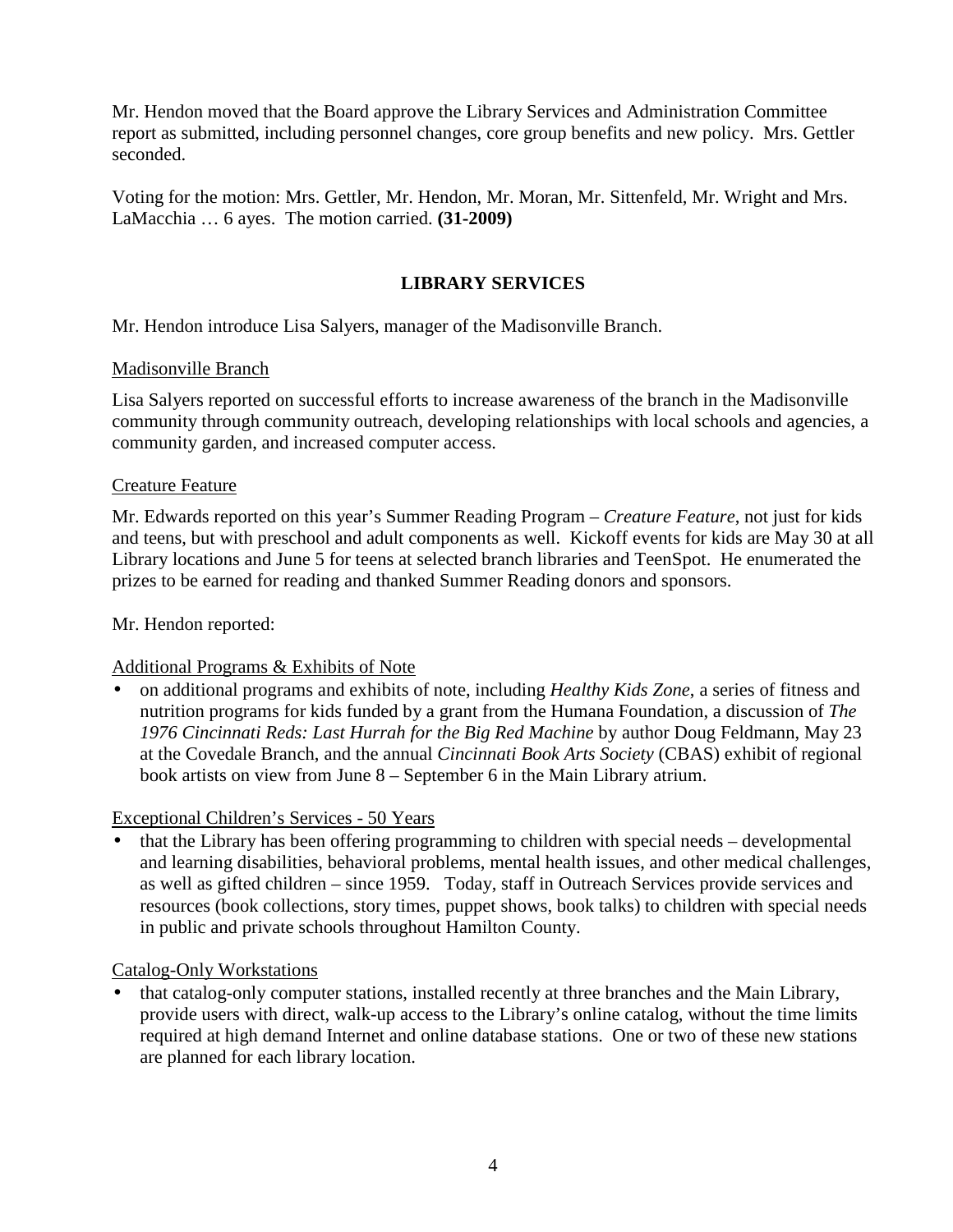Mr. Hendon moved that the Board approve the Library Services and Administration Committee report as submitted, including personnel changes, core group benefits and new policy. Mrs. Gettler seconded.

Voting for the motion: Mrs. Gettler, Mr. Hendon, Mr. Moran, Mr. Sittenfeld, Mr. Wright and Mrs. LaMacchia … 6 ayes. The motion carried. **(31-2009)** 

# **LIBRARY SERVICES**

Mr. Hendon introduce Lisa Salyers, manager of the Madisonville Branch.

### Madisonville Branch

Lisa Salyers reported on successful efforts to increase awareness of the branch in the Madisonville community through community outreach, developing relationships with local schools and agencies, a community garden, and increased computer access.

### Creature Feature

Mr. Edwards reported on this year's Summer Reading Program – *Creature Feature*, not just for kids and teens, but with preschool and adult components as well. Kickoff events for kids are May 30 at all Library locations and June 5 for teens at selected branch libraries and TeenSpot. He enumerated the prizes to be earned for reading and thanked Summer Reading donors and sponsors.

Mr. Hendon reported:

# Additional Programs & Exhibits of Note

• on additional programs and exhibits of note, including *Healthy Kids Zone*, a series of fitness and nutrition programs for kids funded by a grant from the Humana Foundation, a discussion of *The 1976 Cincinnati Reds: Last Hurrah for the Big Red Machine* by author Doug Feldmann, May 23 at the Covedale Branch, and the annual *Cincinnati Book Arts Society* (CBAS) exhibit of regional book artists on view from June 8 – September 6 in the Main Library atrium.

# Exceptional Children's Services - 50 Years

• that the Library has been offering programming to children with special needs – developmental and learning disabilities, behavioral problems, mental health issues, and other medical challenges, as well as gifted children – since 1959. Today, staff in Outreach Services provide services and resources (book collections, story times, puppet shows, book talks) to children with special needs in public and private schools throughout Hamilton County.

# Catalog-Only Workstations

• that catalog-only computer stations, installed recently at three branches and the Main Library, provide users with direct, walk-up access to the Library's online catalog, without the time limits required at high demand Internet and online database stations. One or two of these new stations are planned for each library location.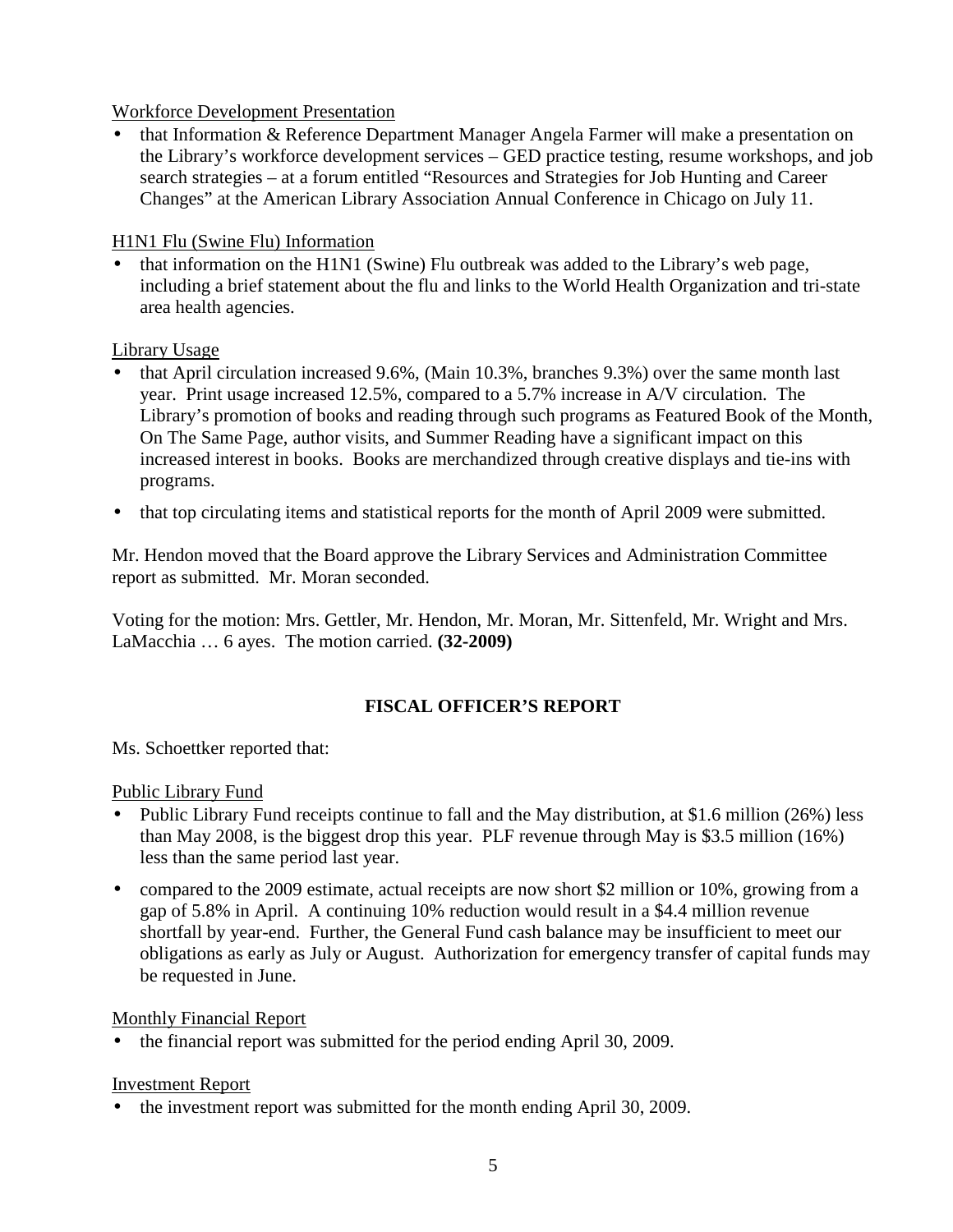# Workforce Development Presentation

• that Information & Reference Department Manager Angela Farmer will make a presentation on the Library's workforce development services – GED practice testing, resume workshops, and job search strategies – at a forum entitled "Resources and Strategies for Job Hunting and Career Changes" at the American Library Association Annual Conference in Chicago on July 11.

### H1N1 Flu (Swine Flu) Information

• that information on the H1N1 (Swine) Flu outbreak was added to the Library's web page, including a brief statement about the flu and links to the World Health Organization and tri-state area health agencies.

### Library Usage

- that April circulation increased 9.6%, (Main 10.3%, branches 9.3%) over the same month last year. Print usage increased 12.5%, compared to a 5.7% increase in A/V circulation. The Library's promotion of books and reading through such programs as Featured Book of the Month, On The Same Page, author visits, and Summer Reading have a significant impact on this increased interest in books. Books are merchandized through creative displays and tie-ins with programs.
- that top circulating items and statistical reports for the month of April 2009 were submitted.

Mr. Hendon moved that the Board approve the Library Services and Administration Committee report as submitted. Mr. Moran seconded.

Voting for the motion: Mrs. Gettler, Mr. Hendon, Mr. Moran, Mr. Sittenfeld, Mr. Wright and Mrs. LaMacchia … 6 ayes. The motion carried. **(32-2009)** 

# **FISCAL OFFICER'S REPORT**

Ms. Schoettker reported that:

Public Library Fund

- Public Library Fund receipts continue to fall and the May distribution, at \$1.6 million (26%) less than May 2008, is the biggest drop this year. PLF revenue through May is \$3.5 million (16%) less than the same period last year.
- compared to the 2009 estimate, actual receipts are now short \$2 million or 10%, growing from a gap of 5.8% in April. A continuing 10% reduction would result in a \$4.4 million revenue shortfall by year-end. Further, the General Fund cash balance may be insufficient to meet our obligations as early as July or August. Authorization for emergency transfer of capital funds may be requested in June.

#### Monthly Financial Report

• the financial report was submitted for the period ending April 30, 2009.

#### Investment Report

• the investment report was submitted for the month ending April 30, 2009.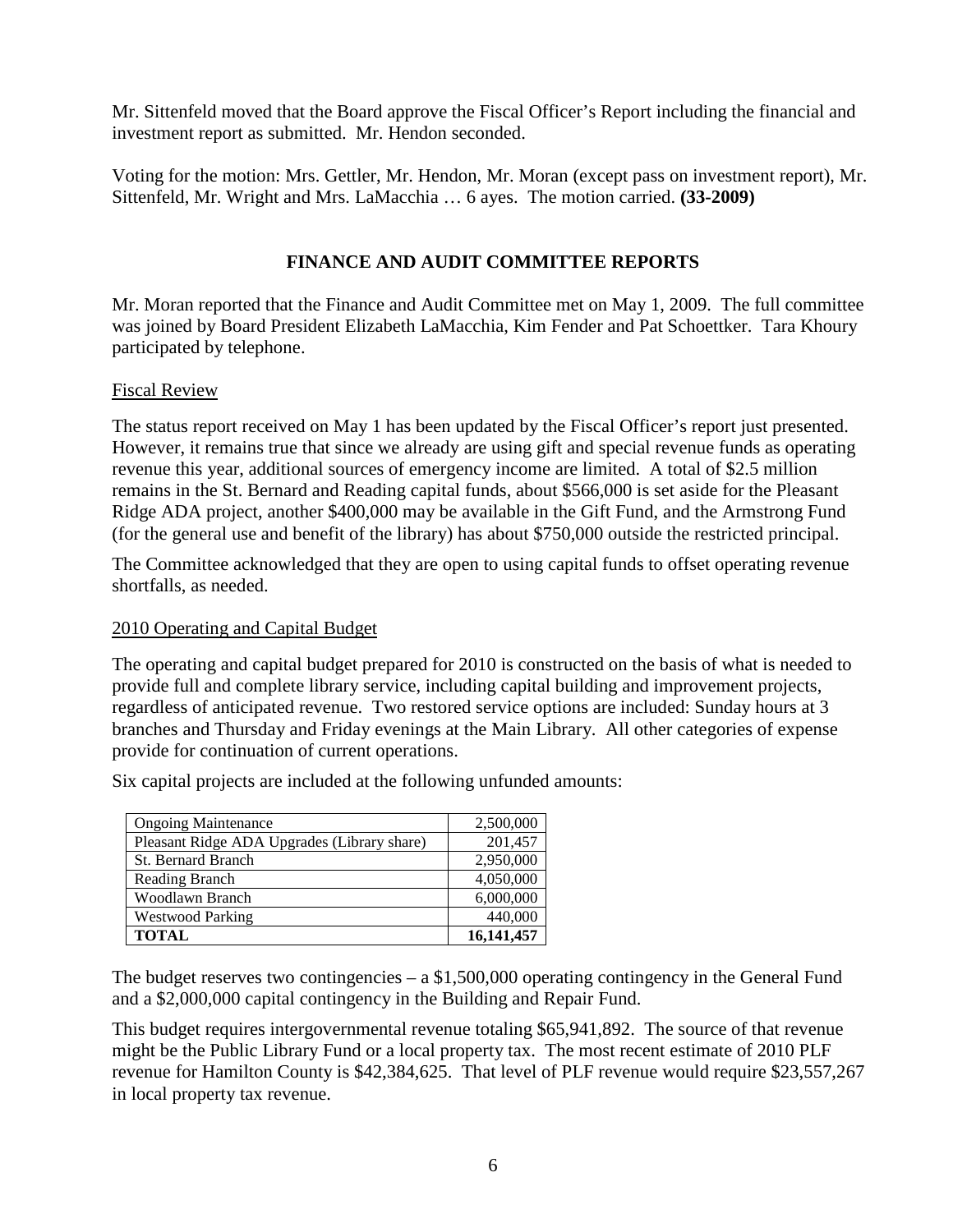Mr. Sittenfeld moved that the Board approve the Fiscal Officer's Report including the financial and investment report as submitted. Mr. Hendon seconded.

Voting for the motion: Mrs. Gettler, Mr. Hendon, Mr. Moran (except pass on investment report), Mr. Sittenfeld, Mr. Wright and Mrs. LaMacchia … 6 ayes. The motion carried. **(33-2009)**

# **FINANCE AND AUDIT COMMITTEE REPORTS**

Mr. Moran reported that the Finance and Audit Committee met on May 1, 2009. The full committee was joined by Board President Elizabeth LaMacchia, Kim Fender and Pat Schoettker. Tara Khoury participated by telephone.

### Fiscal Review

The status report received on May 1 has been updated by the Fiscal Officer's report just presented. However, it remains true that since we already are using gift and special revenue funds as operating revenue this year, additional sources of emergency income are limited. A total of \$2.5 million remains in the St. Bernard and Reading capital funds, about \$566,000 is set aside for the Pleasant Ridge ADA project, another \$400,000 may be available in the Gift Fund, and the Armstrong Fund (for the general use and benefit of the library) has about \$750,000 outside the restricted principal.

The Committee acknowledged that they are open to using capital funds to offset operating revenue shortfalls, as needed.

#### 2010 Operating and Capital Budget

The operating and capital budget prepared for 2010 is constructed on the basis of what is needed to provide full and complete library service, including capital building and improvement projects, regardless of anticipated revenue. Two restored service options are included: Sunday hours at 3 branches and Thursday and Friday evenings at the Main Library. All other categories of expense provide for continuation of current operations.

Six capital projects are included at the following unfunded amounts:

| <b>Ongoing Maintenance</b>                  | 2,500,000  |
|---------------------------------------------|------------|
| Pleasant Ridge ADA Upgrades (Library share) | 201,457    |
| <b>St. Bernard Branch</b>                   | 2,950,000  |
| Reading Branch                              | 4,050,000  |
| Woodlawn Branch                             | 6,000,000  |
| <b>Westwood Parking</b>                     | 440,000    |
| <b>TOTAL</b>                                | 16,141,457 |

The budget reserves two contingencies – a \$1,500,000 operating contingency in the General Fund and a \$2,000,000 capital contingency in the Building and Repair Fund.

This budget requires intergovernmental revenue totaling \$65,941,892. The source of that revenue might be the Public Library Fund or a local property tax. The most recent estimate of 2010 PLF revenue for Hamilton County is \$42,384,625. That level of PLF revenue would require \$23,557,267 in local property tax revenue.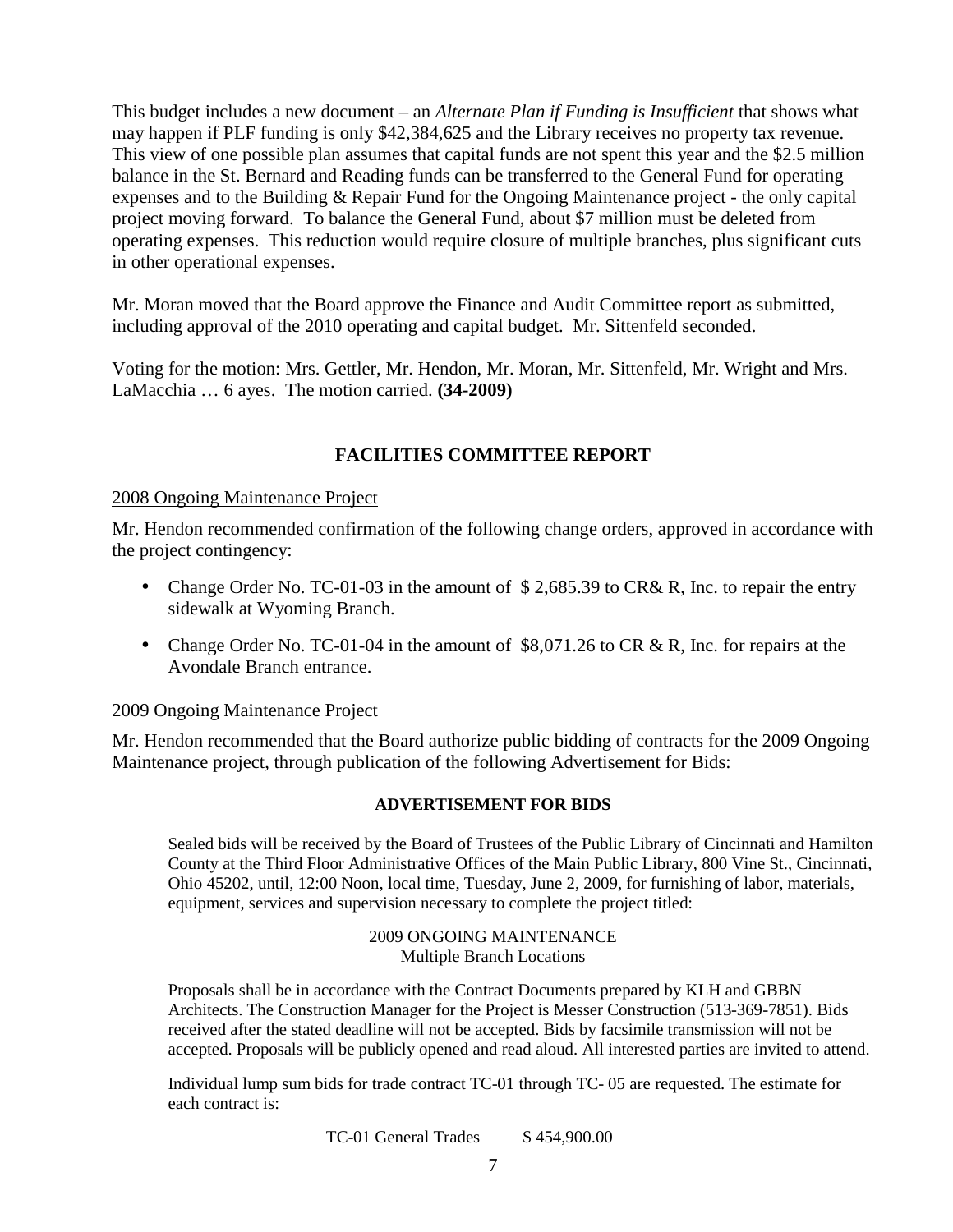This budget includes a new document – an *Alternate Plan if Funding is Insufficient* that shows what may happen if PLF funding is only \$42,384,625 and the Library receives no property tax revenue. This view of one possible plan assumes that capital funds are not spent this year and the \$2.5 million balance in the St. Bernard and Reading funds can be transferred to the General Fund for operating expenses and to the Building & Repair Fund for the Ongoing Maintenance project - the only capital project moving forward. To balance the General Fund, about \$7 million must be deleted from operating expenses. This reduction would require closure of multiple branches, plus significant cuts in other operational expenses.

Mr. Moran moved that the Board approve the Finance and Audit Committee report as submitted, including approval of the 2010 operating and capital budget. Mr. Sittenfeld seconded.

Voting for the motion: Mrs. Gettler, Mr. Hendon, Mr. Moran, Mr. Sittenfeld, Mr. Wright and Mrs. LaMacchia … 6 ayes. The motion carried. **(34-2009)**

# **FACILITIES COMMITTEE REPORT**

#### 2008 Ongoing Maintenance Project

Mr. Hendon recommended confirmation of the following change orders, approved in accordance with the project contingency:

- Change Order No. TC-01-03 in the amount of \$2,685.39 to CR& R, Inc. to repair the entry sidewalk at Wyoming Branch.
- Change Order No. TC-01-04 in the amount of \$8,071.26 to CR & R, Inc. for repairs at the Avondale Branch entrance.

#### 2009 Ongoing Maintenance Project

Mr. Hendon recommended that the Board authorize public bidding of contracts for the 2009 Ongoing Maintenance project, through publication of the following Advertisement for Bids:

#### **ADVERTISEMENT FOR BIDS**

Sealed bids will be received by the Board of Trustees of the Public Library of Cincinnati and Hamilton County at the Third Floor Administrative Offices of the Main Public Library, 800 Vine St., Cincinnati, Ohio 45202, until, 12:00 Noon, local time, Tuesday, June 2, 2009, for furnishing of labor, materials, equipment, services and supervision necessary to complete the project titled:

> 2009 ONGOING MAINTENANCE Multiple Branch Locations

Proposals shall be in accordance with the Contract Documents prepared by KLH and GBBN Architects. The Construction Manager for the Project is Messer Construction (513-369-7851). Bids received after the stated deadline will not be accepted. Bids by facsimile transmission will not be accepted. Proposals will be publicly opened and read aloud. All interested parties are invited to attend.

Individual lump sum bids for trade contract TC-01 through TC- 05 are requested. The estimate for each contract is:

TC-01 General Trades \$454,900.00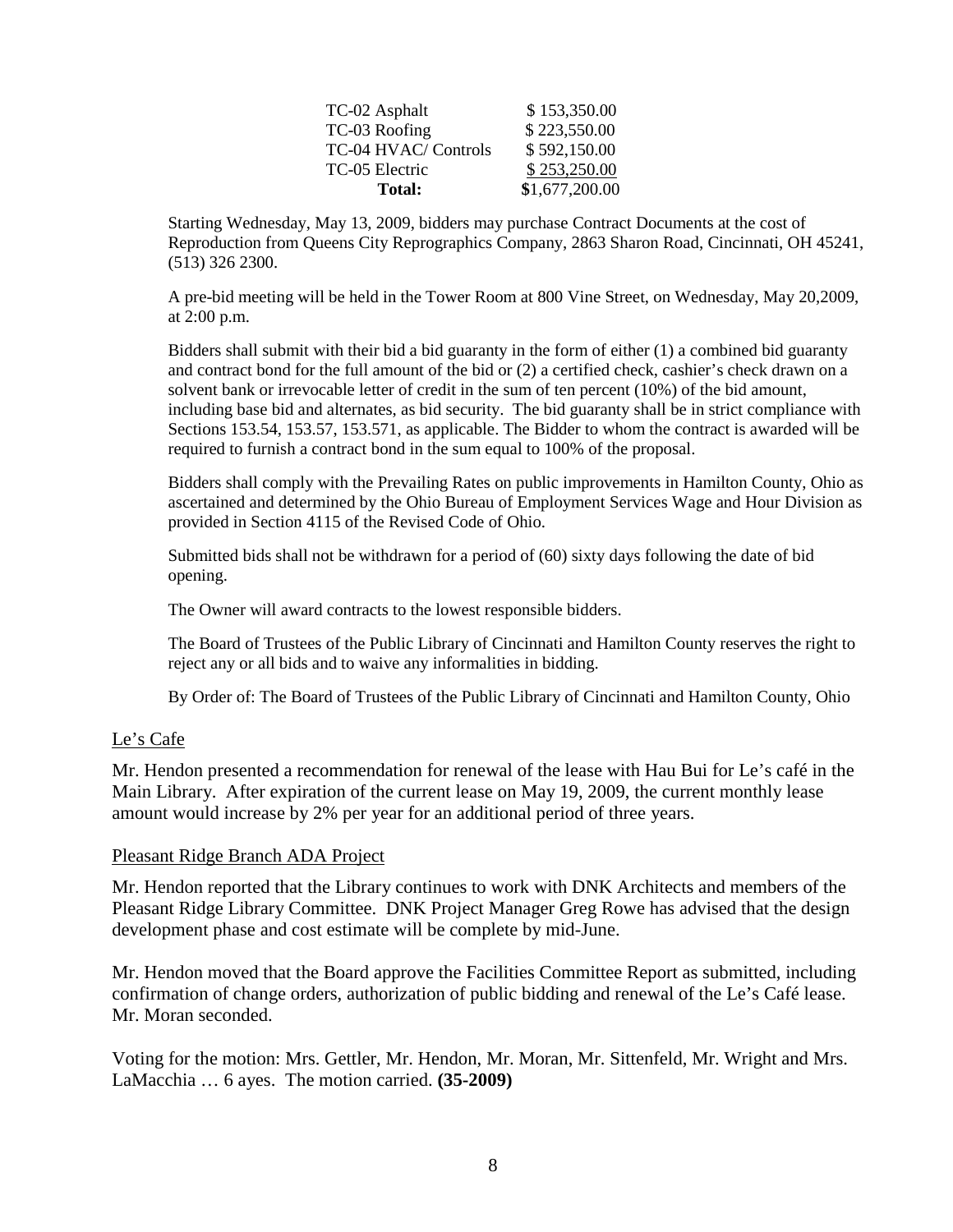| Total:               | \$1,677,200.00 |
|----------------------|----------------|
| TC-05 Electric       | \$253,250.00   |
| TC-04 HVAC/ Controls | \$592,150.00   |
| TC-03 Roofing        | \$223,550.00   |
| TC-02 Asphalt        | \$153,350.00   |

Starting Wednesday, May 13, 2009, bidders may purchase Contract Documents at the cost of Reproduction from Queens City Reprographics Company, 2863 Sharon Road, Cincinnati, OH 45241, (513) 326 2300.

A pre-bid meeting will be held in the Tower Room at 800 Vine Street, on Wednesday, May 20,2009, at 2:00 p.m.

Bidders shall submit with their bid a bid guaranty in the form of either (1) a combined bid guaranty and contract bond for the full amount of the bid or (2) a certified check, cashier's check drawn on a solvent bank or irrevocable letter of credit in the sum of ten percent (10%) of the bid amount, including base bid and alternates, as bid security. The bid guaranty shall be in strict compliance with Sections 153.54, 153.57, 153.571, as applicable. The Bidder to whom the contract is awarded will be required to furnish a contract bond in the sum equal to 100% of the proposal.

Bidders shall comply with the Prevailing Rates on public improvements in Hamilton County, Ohio as ascertained and determined by the Ohio Bureau of Employment Services Wage and Hour Division as provided in Section 4115 of the Revised Code of Ohio.

Submitted bids shall not be withdrawn for a period of (60) sixty days following the date of bid opening.

The Owner will award contracts to the lowest responsible bidders.

The Board of Trustees of the Public Library of Cincinnati and Hamilton County reserves the right to reject any or all bids and to waive any informalities in bidding.

By Order of: The Board of Trustees of the Public Library of Cincinnati and Hamilton County, Ohio

#### Le's Cafe

Mr. Hendon presented a recommendation for renewal of the lease with Hau Bui for Le's café in the Main Library. After expiration of the current lease on May 19, 2009, the current monthly lease amount would increase by 2% per year for an additional period of three years.

#### Pleasant Ridge Branch ADA Project

Mr. Hendon reported that the Library continues to work with DNK Architects and members of the Pleasant Ridge Library Committee. DNK Project Manager Greg Rowe has advised that the design development phase and cost estimate will be complete by mid-June.

Mr. Hendon moved that the Board approve the Facilities Committee Report as submitted, including confirmation of change orders, authorization of public bidding and renewal of the Le's Café lease. Mr. Moran seconded.

Voting for the motion: Mrs. Gettler, Mr. Hendon, Mr. Moran, Mr. Sittenfeld, Mr. Wright and Mrs. LaMacchia … 6 ayes. The motion carried. **(35-2009)**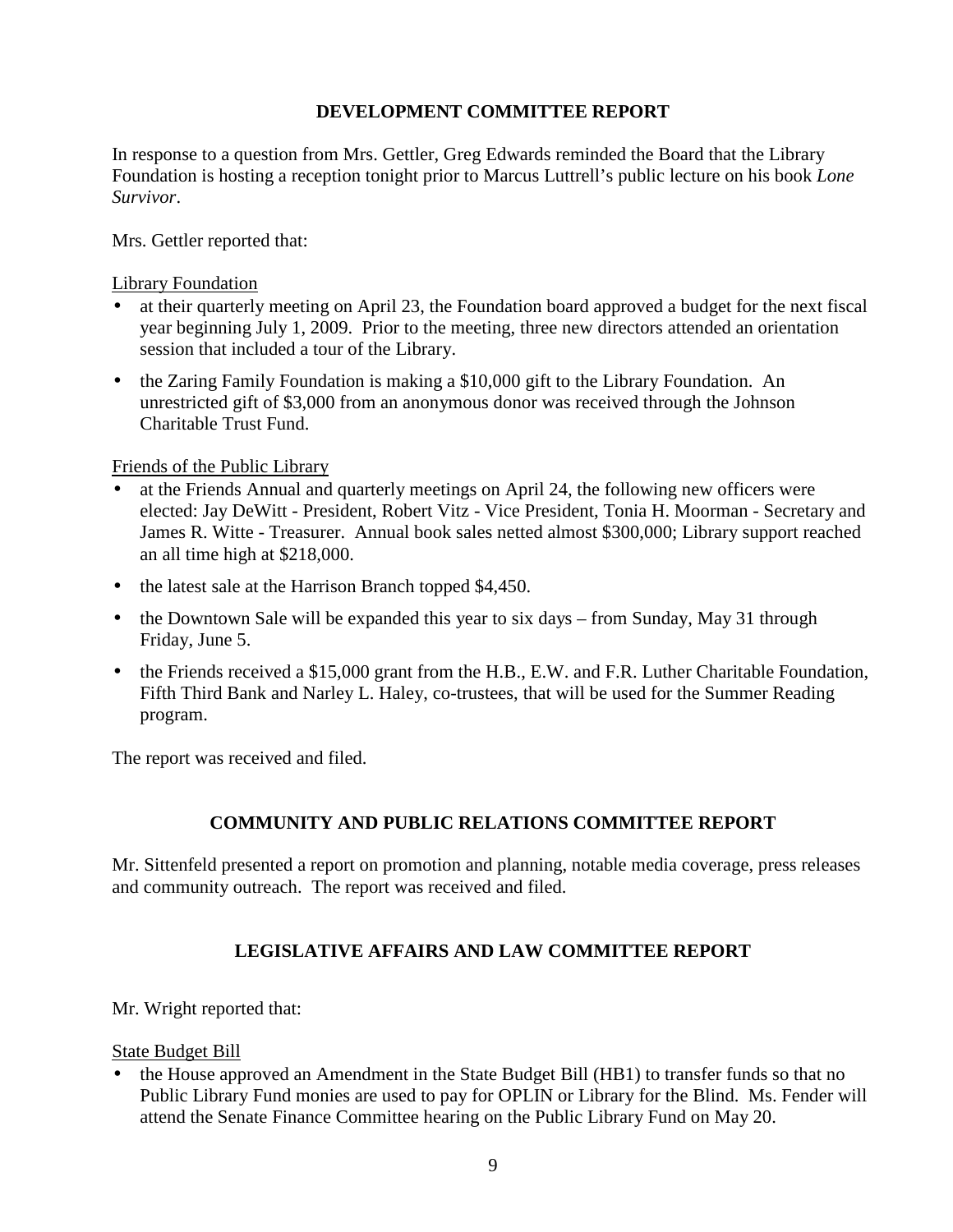# **DEVELOPMENT COMMITTEE REPORT**

In response to a question from Mrs. Gettler, Greg Edwards reminded the Board that the Library Foundation is hosting a reception tonight prior to Marcus Luttrell's public lecture on his book *Lone Survivor*.

Mrs. Gettler reported that:

#### Library Foundation

- at their quarterly meeting on April 23, the Foundation board approved a budget for the next fiscal year beginning July 1, 2009. Prior to the meeting, three new directors attended an orientation session that included a tour of the Library.
- the Zaring Family Foundation is making a \$10,000 gift to the Library Foundation. An unrestricted gift of \$3,000 from an anonymous donor was received through the Johnson Charitable Trust Fund.

### Friends of the Public Library

- at the Friends Annual and quarterly meetings on April 24, the following new officers were elected: Jay DeWitt - President, Robert Vitz - Vice President, Tonia H. Moorman - Secretary and James R. Witte - Treasurer. Annual book sales netted almost \$300,000; Library support reached an all time high at \$218,000.
- the latest sale at the Harrison Branch topped \$4,450.
- the Downtown Sale will be expanded this year to six days from Sunday, May 31 through Friday, June 5.
- the Friends received a \$15,000 grant from the H.B., E.W. and F.R. Luther Charitable Foundation, Fifth Third Bank and Narley L. Haley, co-trustees, that will be used for the Summer Reading program.

The report was received and filed.

# **COMMUNITY AND PUBLIC RELATIONS COMMITTEE REPORT**

Mr. Sittenfeld presented a report on promotion and planning, notable media coverage, press releases and community outreach. The report was received and filed.

# **LEGISLATIVE AFFAIRS AND LAW COMMITTEE REPORT**

Mr. Wright reported that:

# State Budget Bill

• the House approved an Amendment in the State Budget Bill (HB1) to transfer funds so that no Public Library Fund monies are used to pay for OPLIN or Library for the Blind. Ms. Fender will attend the Senate Finance Committee hearing on the Public Library Fund on May 20.